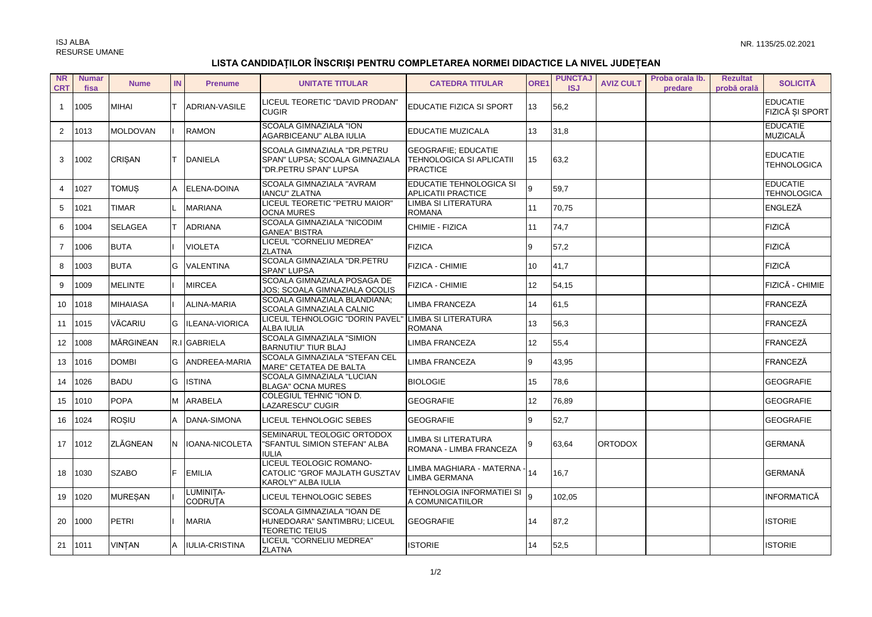## LISTA CANDIDAȚILOR ÎNSCRIȘI PENTRU COMPLETAREA NORMEI DIDACTICE LA NIVEL JUDEȚEAN

| <b>NR</b><br><b>CRT</b> | <b>Numar</b><br>fisa | <b>Nume</b>     | IN | <b>Prenume</b>              | <b>UNITATE TITULAR</b>                                                                 | <b>CATEDRA TITULAR</b>                                                    | ORE1            | <b>PUNCTAJ</b><br><b>ISJ</b> | <b>AVIZ CULT</b> | Proba orala Ib.<br>predare | <b>Rezultat</b><br>probă orală | <b>SOLICITĂ</b>                       |
|-------------------------|----------------------|-----------------|----|-----------------------------|----------------------------------------------------------------------------------------|---------------------------------------------------------------------------|-----------------|------------------------------|------------------|----------------------------|--------------------------------|---------------------------------------|
| $\mathbf{1}$            | 1005                 | <b>MIHAI</b>    |    | ADRIAN-VASILE               | LICEUL TEORETIC "DAVID PRODAN"<br><b>CUGIR</b>                                         | <b>EDUCATIE FIZICA SI SPORT</b>                                           | 13              | 56,2                         |                  |                            |                                | <b>EDUCATIE</b><br>FIZICĂ ȘI SPORT    |
| $\overline{2}$          | 1013                 | <b>MOLDOVAN</b> |    | <b>RAMON</b>                | <b>SCOALA GIMNAZIALA "ION</b><br>AGARBICEANU" ALBA IULIA                               | EDUCATIE MUZICALA                                                         | 13              | 31,8                         |                  |                            |                                | <b>EDUCATIE</b><br>MUZICALĂ           |
| 3                       | 1002                 | <b>CRISAN</b>   |    | <b>DANIELA</b>              | SCOALA GIMNAZIALA "DR.PETRU<br>SPAN" LUPSA; SCOALA GIMNAZIALA<br>"DR.PETRU SPAN" LUPSA | <b>GEOGRAFIE: EDUCATIE</b><br>TEHNOLOGICA SI APLICATII<br><b>PRACTICE</b> | 15              | 63,2                         |                  |                            |                                | <b>EDUCATIE</b><br><b>TEHNOLOGICA</b> |
| $\overline{4}$          | 1027                 | <b>TOMUS</b>    | A  | ELENA-DOINA                 | SCOALA GIMNAZIALA "AVRAM<br><b>IANCU" ZLATNA</b>                                       | EDUCATIE TEHNOLOGICA SI<br><b>APLICATII PRACTICE</b>                      | 9               | 59,7                         |                  |                            |                                | <b>EDUCATIE</b><br><b>TEHNOLOGICA</b> |
| 5                       | 1021                 | <b>TIMAR</b>    |    | <b>MARIANA</b>              | LICEUL TEORETIC "PETRU MAIOR"<br><b>OCNA MURES</b>                                     | <b>LIMBA SI LITERATURA</b><br><b>ROMANA</b>                               | 11              | 70,75                        |                  |                            |                                | ENGLEZĂ                               |
| 6                       | 1004                 | <b>SELAGEA</b>  |    | <b>ADRIANA</b>              | SCOALA GIMNAZIALA "NICODIM<br><b>GANEA" BISTRA</b>                                     | CHIMIE - FIZICA                                                           | 11              | 74,7                         |                  |                            |                                | <b>FIZICĂ</b>                         |
| $\overline{7}$          | 1006                 | <b>BUTA</b>     |    | <b>VIOLETA</b>              | LICEUL "CORNELIU MEDREA"<br><b>ZLATNA</b>                                              | <b>FIZICA</b>                                                             | 9               | 57,2                         |                  |                            |                                | <b>FIZICĂ</b>                         |
| 8                       | 1003                 | <b>BUTA</b>     | G  | <b>VALENTINA</b>            | SCOALA GIMNAZIALA "DR.PETRU<br><b>SPAN" LUPSA</b>                                      | FIZICA - CHIMIE                                                           | 10              | 41,7                         |                  |                            |                                | <b>FIZICĂ</b>                         |
| 9                       | 1009                 | <b>MELINTE</b>  |    | <b>MIRCEA</b>               | SCOALA GIMNAZIALA POSAGA DE<br>JOS; SCOALA GIMNAZIALA OCOLIS                           | FIZICA - CHIMIE                                                           | 12              | 54,15                        |                  |                            |                                | FIZICĂ - CHIMIE                       |
| 10 <sup>°</sup>         | 1018                 | <b>MIHAIASA</b> |    | ALINA-MARIA                 | SCOALA GIMNAZIALA BLANDIANA;<br>SCOALA GIMNAZIALA CALNIC                               | LIMBA FRANCEZA                                                            | 14              | 61,5                         |                  |                            |                                | <b>FRANCEZĂ</b>                       |
| 11                      | 1015                 | VĂCARIU         | G  | ILEANA-VIORICA              | LICEUL TEHNOLOGIC "DORIN PAVEL"<br>ALBA IULIA                                          | LIMBA SI LITERATURA<br><b>ROMANA</b>                                      | 13              | 56,3                         |                  |                            |                                | FRANCEZĂ                              |
| 12 <sup>2</sup>         | 1008                 | MÄRGINEAN       |    | R.I GABRIELA                | <b>SCOALA GIMNAZIALA "SIMION</b><br>BARNUTIU" TIUR BLAJ                                | LIMBA FRANCEZA                                                            | 12 <sup>2</sup> | 55,4                         |                  |                            |                                | <b>FRANCEZĂ</b>                       |
| 13                      | 1016                 | <b>DOMBI</b>    | G  | ANDREEA-MARIA               | SCOALA GIMNAZIALA "STEFAN CEL<br>MARE" CETATEA DE BALTA                                | LIMBA FRANCEZA                                                            | 9               | 43,95                        |                  |                            |                                | FRANCEZĂ                              |
| 14                      | 1026                 | <b>BADU</b>     | G  | <b>ISTINA</b>               | SCOALA GIMNAZIALA "LUCIAN<br><b>BLAGA" OCNA MURES</b>                                  | <b>BIOLOGIE</b>                                                           | 15              | 78,6                         |                  |                            |                                | <b>GEOGRAFIE</b>                      |
| 15                      | 1010                 | <b>POPA</b>     | M  | ARABELA                     | COLEGIUL TEHNIC "ION D.<br>LAZARESCU" CUGIR                                            | <b>GEOGRAFIE</b>                                                          | 12              | 76,89                        |                  |                            |                                | <b>GEOGRAFIE</b>                      |
| 16                      | 1024                 | <b>ROSIU</b>    | A  | DANA-SIMONA                 | LICEUL TEHNOLOGIC SEBES                                                                | <b>GEOGRAFIE</b>                                                          | 9               | 52,7                         |                  |                            |                                | <b>GEOGRAFIE</b>                      |
| 17                      | 1012                 | <b>ZLĂGNEAN</b> | N  | IOANA-NICOLETA              | SEMINARUL TEOLOGIC ORTODOX<br>"SFANTUL SIMION STEFAN" ALBA<br>IULIA                    | LIMBA SI LITERATURA<br>ROMANA - LIMBA FRANCEZA                            | 9               | 63,64                        | <b>ORTODOX</b>   |                            |                                | <b>GERMANĂ</b>                        |
| 18                      | 1030                 | <b>SZABO</b>    | E  | <b>EMILIA</b>               | LICEUL TEOLOGIC ROMANO-<br>CATOLIC "GROF MAJLATH GUSZTAV<br>KAROLY" ALBA IULIA         | LIMBA MAGHIARA - MATERNA -<br>LIMBA GERMANA                               | 14              | 16,7                         |                  |                            |                                | <b>GERMANĂ</b>                        |
| 19                      | 1020                 | <b>MURESAN</b>  |    | LUMINITA-<br><b>CODRUTA</b> | LICEUL TEHNOLOGIC SEBES                                                                | <b>TEHNOLOGIA INFORMATIEI SI</b><br>A COMUNICATIILOR                      | $\mathsf{q}$    | 102,05                       |                  |                            |                                | <b>INFORMATICĂ</b>                    |
| 20                      | 1000                 | <b>PETRI</b>    |    | <b>MARIA</b>                | SCOALA GIMNAZIALA "IOAN DE<br>HUNEDOARA" SANTIMBRU; LICEUL<br><b>TEORETIC TEIUS</b>    | <b>GEOGRAFIE</b>                                                          | 14              | 87,2                         |                  |                            |                                | <b>ISTORIE</b>                        |
| 21                      | 1011                 | <b>VINTAN</b>   | A  | IULIA-CRISTINA              | LICEUL "CORNELIU MEDREA"<br><b>ZLATNA</b>                                              | <b>ISTORIE</b>                                                            | 14              | 52,5                         |                  |                            |                                | <b>ISTORIE</b>                        |